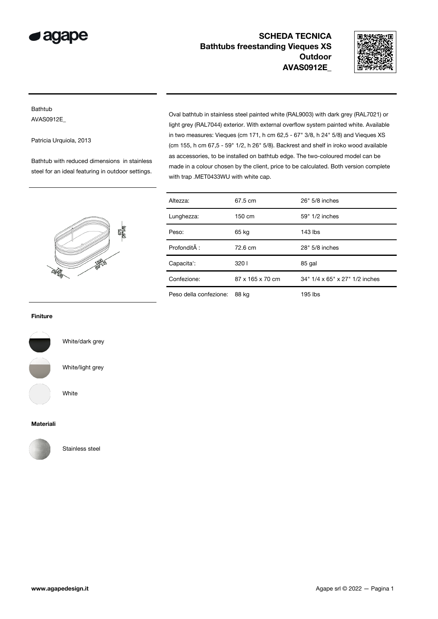

SCHEDA TECNICA Bathtubs freestanding Vieques XS **Outdoor** AVAS0912E\_



## Bathtub AVAS0912E\_

Patricia Urquiola, 2013

Bathtub with reduced dimensions in stainless steel for an ideal featuring in outdoor settings. Oval bathtub in stainless steel painted white (RAL9003) with dark grey (RAL7021) or light grey (RAL7044) exterior. With external overflow system painted white. Available in two measures: Vieques (cm 171, h cm 62,5 - 67" 3/8, h 24" 5/8) and Vieques XS (cm 155, h cm 67,5 - 59" 1/2, h 26" 5/8). Backrest and shelf in iroko wood available as accessories, to be installed on bathtub edge. The two-coloured model can be made in a colour chosen by the client, price to be calculated. Both version complete with trap .MET0433WU with white cap.



| Altezza:               | 67.5 cm          | 26" 5/8 inches                 |
|------------------------|------------------|--------------------------------|
| Lunghezza:             | 150 cm           | 59" 1/2 inches                 |
| Peso:                  | 65 kg            | $143$ lbs                      |
| Profondità :           | 72.6 cm          | 28" 5/8 inches                 |
| Capacita':             | 3201             | 85 gal                         |
| Confezione:            | 87 x 165 x 70 cm | 34" 1/4 x 65" x 27" 1/2 inches |
| Peso della confezione: | 88 kg            | 195 lbs                        |

## Finiture



White/dark grey

White/light grey

White

## Materiali



Stainless steel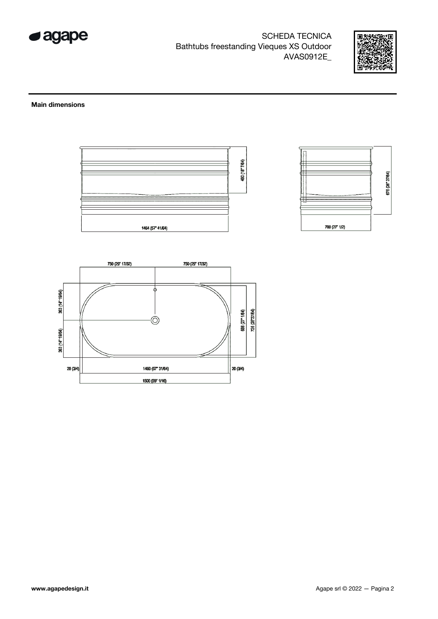

**SCHEDA TECNICA** Bathtubs freestanding Vieques XS Outdoor AVAS0912E\_



## **Main dimensions**